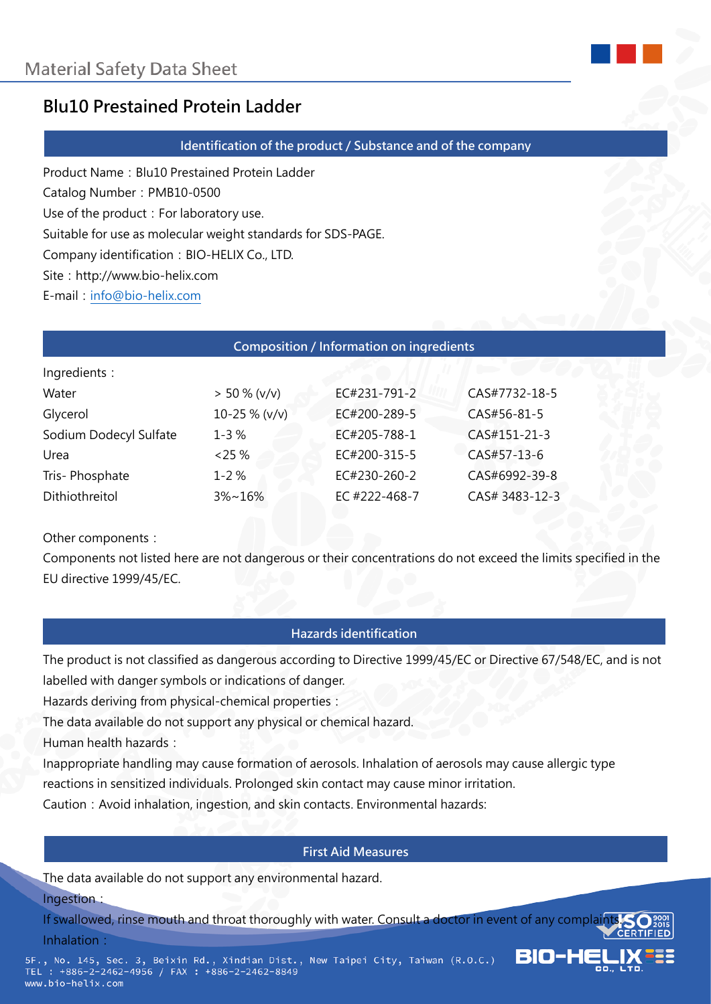

# **Blu10 Prestained Protein Ladder**

#### **Identification of the product / Substance and of the company**

Product Name: Blu10 Prestained Protein Ladder Catalog Number: PMB10-0500 Use of the product: For laboratory use. Suitable for use as molecular weight standards for SDS-PAGE. Company identification: BIO-HELIX Co., LTD. Site: http://www.bio-helix.com

E-mail: [info@bio-helix.com](mailto:info@bio-helix.com)

#### **Composition / Information on ingredients**

| Ingredients :          |                  |               |                |
|------------------------|------------------|---------------|----------------|
| Water                  | $> 50 \% (v/v)$  | EC#231-791-2  | CAS#7732-18-5  |
| Glycerol               | $10-25 \% (v/v)$ | EC#200-289-5  | CAS#56-81-5    |
| Sodium Dodecyl Sulfate | $1 - 3%$         | EC#205-788-1  | CAS#151-21-3   |
| Urea                   | $< 25 \%$        | EC#200-315-5  | CAS#57-13-6    |
| Tris-Phosphate         | $1 - 2%$         | EC#230-260-2  | CAS#6992-39-8  |
| Dithiothreitol         | $3\% \sim 16\%$  | EC #222-468-7 | CAS# 3483-12-3 |
|                        |                  |               |                |

Other components:

Components not listed here are not dangerous or their concentrations do not exceed the limits specified in the EU directive 1999/45/EC.

#### **Hazards identification**

The product is not classified as dangerous according to Directive 1999/45/EC or Directive 67/548/EC, and is not labelled with danger symbols or indications of danger.

Hazards deriving from physical-chemical properties:

The data available do not support any physical or chemical hazard.

Human health hazards:

Inappropriate handling may cause formation of aerosols. Inhalation of aerosols may cause allergic type reactions in sensitized individuals. Prolonged skin contact may cause minor irritation.

Caution: Avoid inhalation, ingestion, and skin contacts. Environmental hazards:

#### **First Aid Measures**

The data available do not support any environmental hazard.

Ingestion:

If swallowed, rinse mouth and throat thoroughly with water. Consult a doctor in event of any complaint Inhalation:

610-l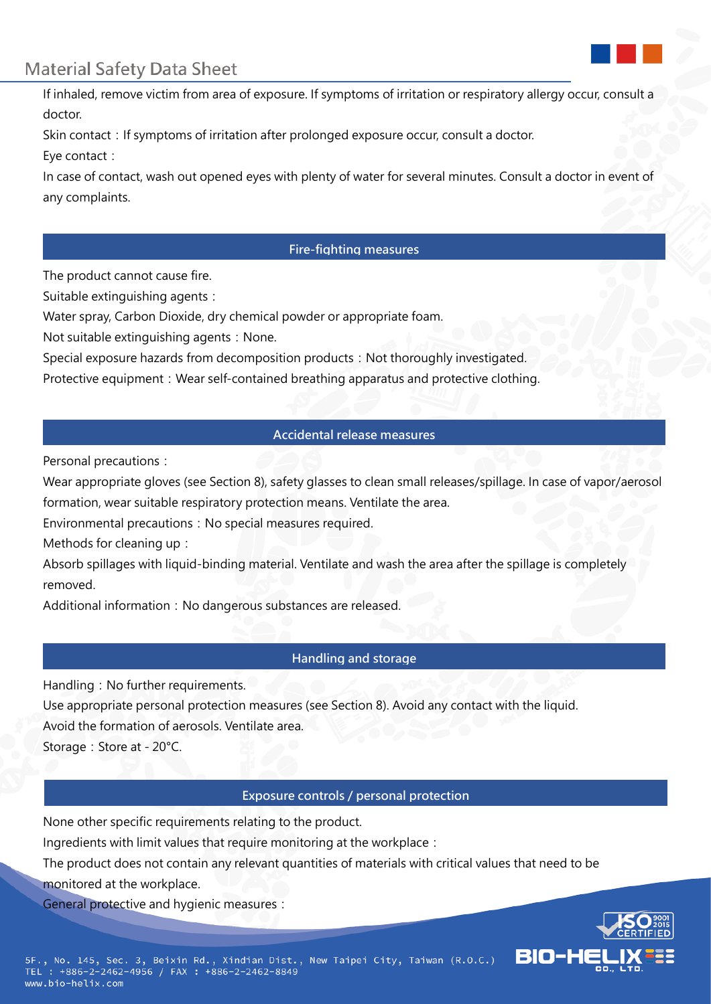

# **Material Safety Data Sheet**

If inhaled, remove victim from area of exposure. If symptoms of irritation or respiratory allergy occur, consult a doctor.

Skin contact: If symptoms of irritation after prolonged exposure occur, consult a doctor.

Eye contact:

In case of contact, wash out opened eyes with plenty of water for several minutes. Consult a doctor in event of any complaints.

## **Fire-fighting measures**

The product cannot cause fire.

Suitable extinguishing agents:

Water spray, Carbon Dioxide, dry chemical powder or appropriate foam.

Not suitable extinguishing agents: None.

Special exposure hazards from decomposition products: Not thoroughly investigated.

Protective equipment: Wear self-contained breathing apparatus and protective clothing.

## **Accidental release measures**

Personal precautions:

Wear appropriate gloves (see Section 8), safety glasses to clean small releases/spillage. In case of vapor/aerosol formation, wear suitable respiratory protection means. Ventilate the area.

Environmental precautions: No special measures required.

Methods for cleaning up:

Absorb spillages with liquid-binding material. Ventilate and wash the area after the spillage is completely removed.

Additional information: No dangerous substances are released.

## **Handling and storage**

Handling: No further requirements.

Use appropriate personal protection measures (see Section 8). Avoid any contact with the liquid.

Avoid the formation of aerosols. Ventilate area.

Storage: Store at - 20°C.

## **Exposure controls / personal protection**

None other specific requirements relating to the product.

Ingredients with limit values that require monitoring at the workplace:

The product does not contain any relevant quantities of materials with critical values that need to be

monitored at the workplace.

General protective and hygienic measures:

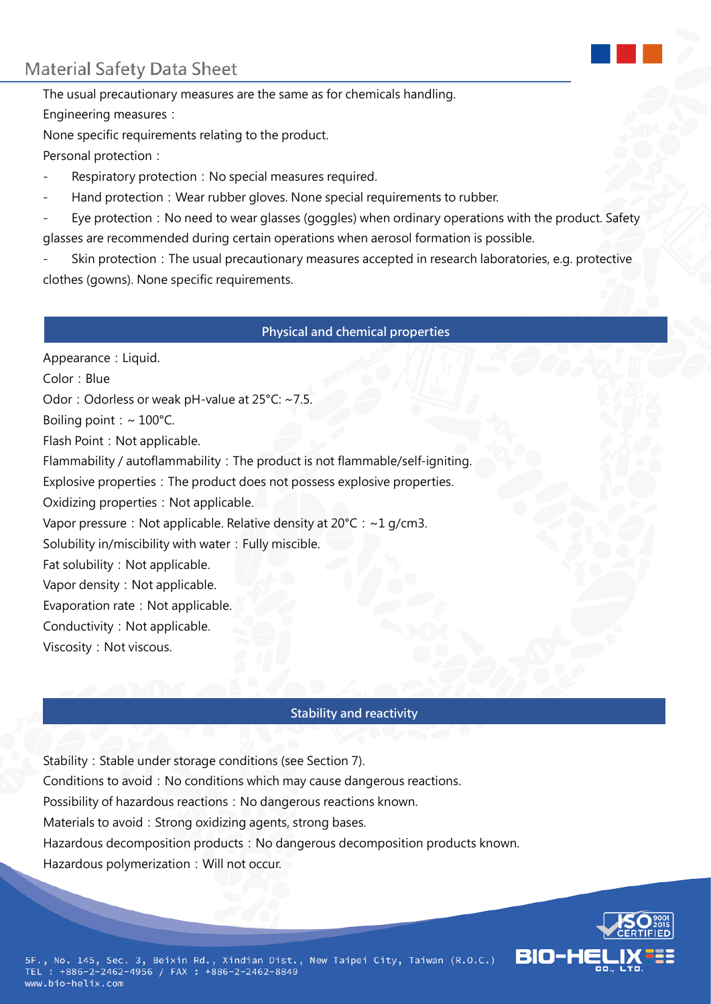# **Material Safety Data Sheet**

The usual precautionary measures are the same as for chemicals handling. Engineering measures:

None specific requirements relating to the product. Personal protection:

- Respiratory protection: No special measures required.
- Hand protection: Wear rubber gloves. None special requirements to rubber.
- Eye protection: No need to wear glasses (goggles) when ordinary operations with the product. Safety glasses are recommended during certain operations when aerosol formation is possible.

Skin protection: The usual precautionary measures accepted in research laboratories, e.g. protective clothes (gowns). None specific requirements.

#### **Physical and chemical properties**

Appearance: Liquid. Color: Blue Odor: Odorless or weak pH-value at 25°C: ~7.5. Boiling point:  $\sim 100^{\circ}$ C. Flash Point: Not applicable. Flammability / autoflammability: The product is not flammable/self-igniting. Explosive properties: The product does not possess explosive properties. Oxidizing properties: Not applicable. Vapor pressure: Not applicable. Relative density at  $20^{\circ}$ C: ~1 g/cm3. Solubility in/miscibility with water: Fully miscible. Fat solubility: Not applicable. Vapor density: Not applicable. Evaporation rate: Not applicable. Conductivity: Not applicable. Viscosity: Not viscous.

#### **Stability and reactivity**

Stability: Stable under storage conditions (see Section 7). Conditions to avoid: No conditions which may cause dangerous reactions. Possibility of hazardous reactions: No dangerous reactions known. Materials to avoid: Strong oxidizing agents, strong bases. Hazardous decomposition products: No dangerous decomposition products known. Hazardous polymerization: Will not occur.

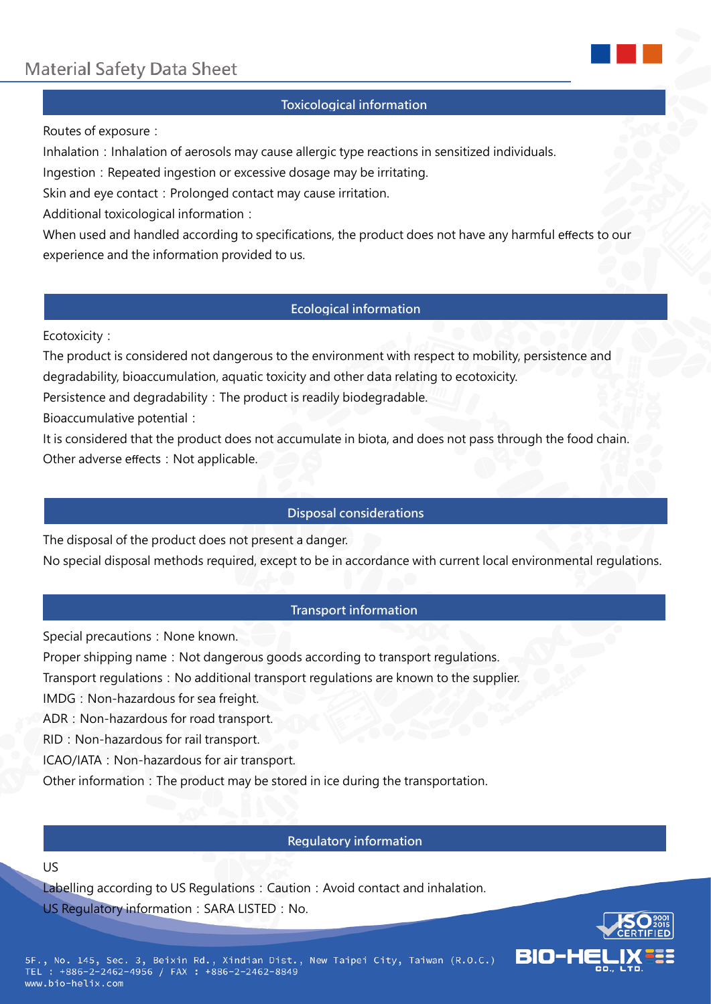

## **Toxicological information**

Routes of exposure:

Inhalation: Inhalation of aerosols may cause allergic type reactions in sensitized individuals.

Ingestion: Repeated ingestion or excessive dosage may be irritating.

Skin and eye contact: Prolonged contact may cause irritation.

Additional toxicological information:

When used and handled according to specifications, the product does not have any harmful effects to our experience and the information provided to us.

## **Ecological information**

Ecotoxicity:

The product is considered not dangerous to the environment with respect to mobility, persistence and degradability, bioaccumulation, aquatic toxicity and other data relating to ecotoxicity.

Persistence and degradability: The product is readily biodegradable.

Bioaccumulative potential:

It is considered that the product does not accumulate in biota, and does not pass through the food chain. Other adverse effects: Not applicable.

## **Disposal considerations**

The disposal of the product does not present a danger.

No special disposal methods required, except to be in accordance with current local environmental regulations.

#### **Transport information**

Special precautions: None known.

Proper shipping name: Not dangerous goods according to transport regulations.

Transport regulations: No additional transport regulations are known to the supplier.

IMDG: Non-hazardous for sea freight.

ADR: Non-hazardous for road transport.

RID: Non-hazardous for rail transport.

ICAO/IATA: Non-hazardous for air transport.

Other information: The product may be stored in ice during the transportation.

## **Regulatory information**

#### US

Labelling according to US Regulations: Caution: Avoid contact and inhalation. US Regulatory information: SARA LISTED: No.